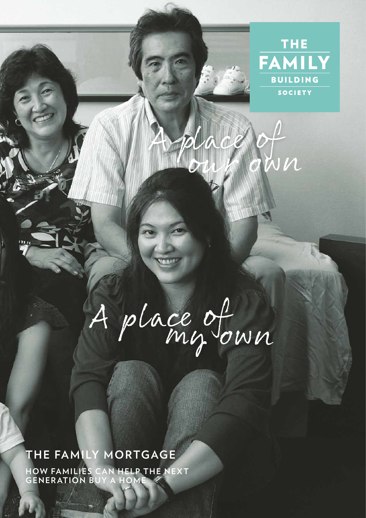

my own A place of

A place of

**THE FAMILY MORTGAGE HOW FAMILIES CAN HELP THE NEXT GENER ATION BUY A HOME**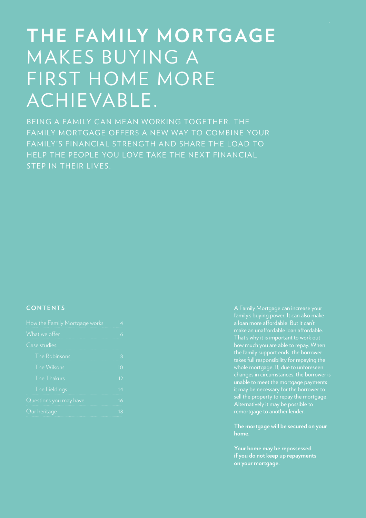# **THE FAMILY MORTGAGE** MAKES BUYING A FIRST HOME MORE ACHIEVABLE.

BEING A FAMILY CAN MEAN WORKING TOGETHER. THE FAMILY MORTGAGE OFFERS A NEW WAY TO COMBINE YOUR FAMILY'S FINANCIAL STRENGTH AND SHARE THE LOAD TO HELP THE PEOPLE YOU LOVE TAKE THE NEXT FINANCIAL STEP IN THEIR LIVES.

## **CONTENTS**

| How the Family Mortgage works |    |
|-------------------------------|----|
| What we offer                 |    |
| Case studies:                 |    |
| The Robinsons                 |    |
| The Wilsons                   | 10 |
| <b>The Thakurs</b>            | 17 |
| The Fieldings                 | 12 |
| Questions you may have        | 16 |
| Our heritage                  | 18 |
|                               |    |

A Family Mortgage can increase your family's buying power. It can also make a loan more affordable. But it can't the family support ends, the borrower takes full responsibility for repaying the whole mortgage. If, due to unforeseen changes in circumstances, the borrower is unable to meet the mortgage payments sell the property to repay the mortgage. remortgage to another lender.

**The mortgage will be secured on your home.** 

**Your home may be repossessed if you do not keep up repayments on your mortgage.**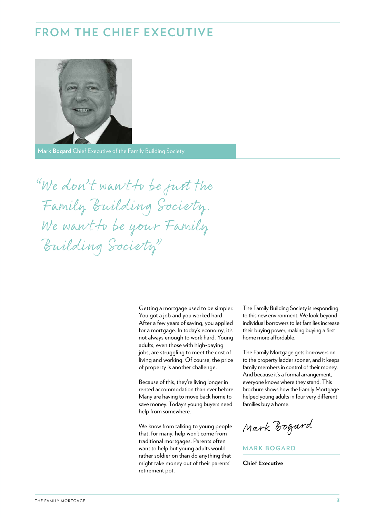## **FROM THE CHIEF EXECUTIVE**



**Mark Bogard** Chief Executive of the Family Building Society

"We don't want to be just the Family Building Society. We want to be your Family Building Socie ty"

> Getting a mortgage used to be simpler. You got a job and you worked hard. After a few years of saving, you applied for a mortgage. In today's economy, it's not always enough to work hard. Young adults, even those with high-paying jobs, are struggling to meet the cost of living and working. Of course, the price of property is another challenge.

Because of this, they're living longer in rented accommodation than ever before. Many are having to move back home to save money. Today's young buyers need help from somewhere.

We know from talking to young people that, for many, help won't come from traditional mortgages. Parents often want to help but young adults would rather soldier on than do anything that might take money out of their parents' retirement pot.

The Family Building Society is responding to this new environment. We look beyond individual borrowers to let families increase their buying power, making buying a first home more affordable.

The Family Mortgage gets borrowers on to the property ladder sooner, and it keeps family members in control of their money. And because it's a formal arrangement, everyone knows where they stand. This brochure shows how the Family Mortgage helped young adults in four very different families buy a home.

Mark Bogard

**MARK BOGARD**

**Chief Executive**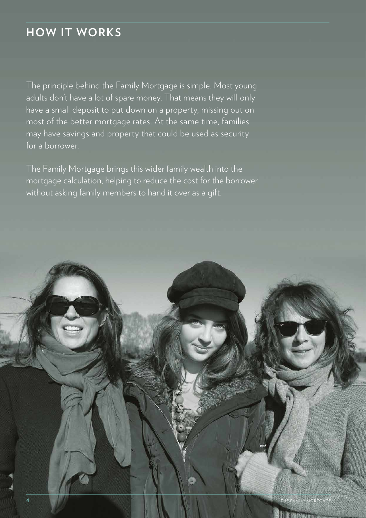## **HOW IT WORKS**

The principle behind the Family Mortgage is simple. Most young adults don't have a lot of spare money. That means they will only have a small deposit to put down on a property, missing out on most of the better mortgage rates. At the same time, families may have savings and property that could be used as security for a borrower.

The Family Mortgage brings this wider family wealth into the mortgage calculation, helping to reduce the cost for the borrower without asking family members to hand it over as a gift.

 $\overline{a}$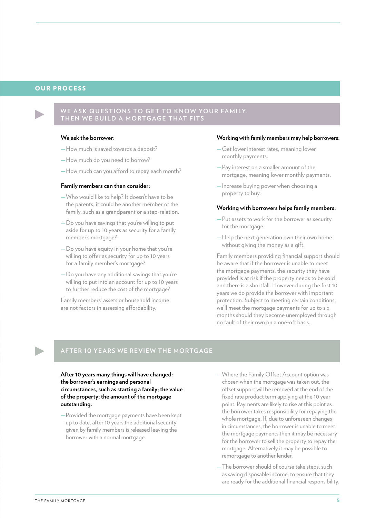## OUR PROCESS



### WE ASK QUESTIONS TO GET TO KNOW YOUR FAMILY. **THEN WE BUILD A MORTGAGE THAT FITS**

## **We ask the borrower:**

- —How much is saved towards a deposit?
- —How much do you need to borrow?
- —How much can you afford to repay each month?

#### **Family members can then consider:**

- —Who would like to help? It doesn't have to be the parents, it could be another member of the family, such as a grandparent or a step-relation.
- —Do you have savings that you're willing to put aside for up to 10 years as security for a family member's mortgage?
- —Do you have equity in your home that you're willing to offer as security for up to 10 years for a family member's mortgage?
- —Do you have any additional savings that you're willing to put into an account for up to 10 years to further reduce the cost of the mortgage?

Family members' assets or household income are not factors in assessing affordability.

#### **Working with family members may help borrowers:**

- —Get lower interest rates, meaning lower monthly payments.
- —Pay interest on a smaller amount of the mortgage, meaning lower monthly payments.
- —Increase buying power when choosing a property to buy.

#### **Working with borrowers helps family members:**

- —Put assets to work for the borrower as security for the mortgage.
- —Help the next generation own their own home without giving the money as a gift.

Family members providing financial support should be aware that if the borrower is unable to meet the mortgage payments, the security they have provided is at risk if the property needs to be sold and there is a shortfall. However during the first 10 years we do provide the borrower with important protection. Subject to meeting certain conditions, we'll meet the mortgage payments for up to six months should they become unemployed through no fault of their own on a one-off basis.

## **AFTER 10 YEARS WE REVIEW THE MORTGAGE**

**After 10 years many things will have changed: the borrower's earnings and personal circumstances, such as starting a family; the value of the property; the amount of the mortgage outstanding.** 

- —Provided the mortgage payments have been kept up to date, after 10 years the additional security given by family members is released leaving the borrower with a normal mortgage.
- —Where the Family Offset Account option was chosen when the mortgage was taken out, the offset support will be removed at the end of the fixed rate product term applying at the 10 year point. Payments are likely to rise at this point as the borrower takes responsibility for repaying the whole mortgage. If, due to unforeseen changes in circumstances, the borrower is unable to meet the mortgage payments then it may be necessary for the borrower to sell the property to repay the mortgage. Alternatively it may be possible to remortgage to another lender.
- —The borrower should of course take steps, such as saving disposable income, to ensure that they are ready for the additional financial responsibility.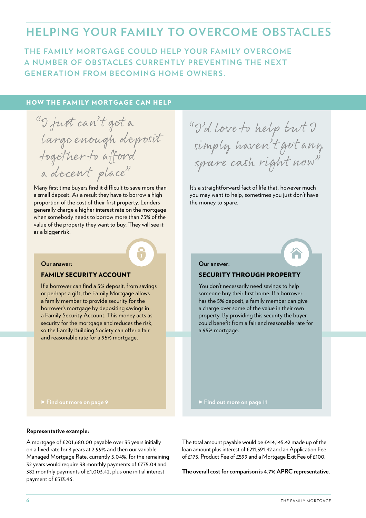## **HELPING YOUR FAMILY TO OVERCOME OBSTACLES**

**THE FAMILY MORTGAGE COULD HELP YOUR FAMILY OVERCOME A NUMBER OF OBSTACLES CURRENTLY PREVENTING THE NEXT GENERATION FROM BECOMING HOME OWNERS.** 

## HOW THE FAMILY MORTGAGE CAN HELP

"I just can't get a large enough deposit together to afford a decent place"

Many first time buyers find it difficult to save more than a small deposit. As a result they have to borrow a high proportion of the cost of their first property. Lenders generally charge a higher interest rate on the mortgage when somebody needs to borrow more than 75% of the value of the property they want to buy. They will see it as a bigger risk.

#### **Our answer:**

### FAMILY SECURITY ACCOUNT

If a borrower can find a 5% deposit, from savings or perhaps a gift, the Family Mortgage allows a family member to provide security for the borrower's mortgage by depositing savings in a Family Security Account. This money acts as security for the mortgage and reduces the risk, so the Family Building Society can offer a fair and reasonable rate for a 95% mortgage.

"I'd love to help but I simply haven't got any spare cash right now"

It's a straightforward fact of life that, however much you may want to help, sometimes you just don't have the money to spare.



#### **Our answer:**

### SECURITY THROUGH PROPERTY

You don't necessarily need savings to help someone buy their first home. If a borrower has the 5% deposit, a family member can give a charge over some of the value in their own property. By providing this security the buyer could benefit from a fair and reasonable rate for a 95% mortgage.

 **Find out more on page 11**

#### **Representative example:**

A mortgage of £201,680.00 payable over 35 years initially on a fixed rate for 3 years at 2.99% and then our variable Managed Mortgage Rate, currently 5.04%, for the remaining 32 years would require 38 monthly payments of £775.04 and 382 monthly payments of £1,003.42, plus one initial interest payment of £513.46.

The total amount payable would be £414,145.42 made up of the loan amount plus interest of £211,591.42 and an Application Fee of £175, Product Fee of £599 and a Mortgage Exit Fee of £100.

**The overall cost for comparison is 4.7% APRC representative.**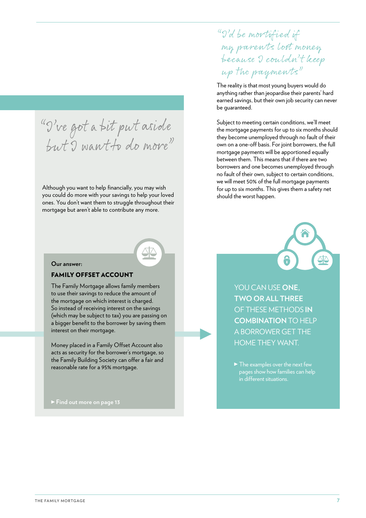"I've got a bit put aside bu t I wan t to do more"

Although you want to help financially, you may wish you could do more with your savings to help your loved ones. You don't want them to struggle throughout their mortgage but aren't able to contribute any more.

#### **Our answer:**

### FAMILY OFFSET ACCOUNT

The Family Mortgage allows family members to use their savings to reduce the amount of the mortgage on which interest is charged. So instead of receiving interest on the savings (which may be subject to tax) you are passing on a bigger benefit to the borrower by saving them interest on their mortgage.

Money placed in a Family Offset Account also acts as security for the borrower's mortgage, so the Family Building Society can offer a fair and reasonable rate for a 95% mortgage.

 **Find out more on page 13**

"I'd be mortified if my paren ts lost money because I couldn't keep up the paymen ts"

The reality is that most young buyers would do anything rather than jeopardise their parents' hard earned savings, but their own job security can never be guaranteed.

Subject to meeting certain conditions, we'll meet the mortgage payments for up to six months should they become unemployed through no fault of their own on a one-off basis. For joint borrowers, the full mortgage payments will be apportioned equally between them. This means that if there are two borrowers and one becomes unemployed through no fault of their own, subject to certain conditions, we will meet 50% of the full mortgage payments for up to six months. This gives them a safety net should the worst happen.



YOU CAN USE **ONE. TWO OR ALL THREE**  OF THESE METHODS **IN COMBINATION** TO HELP A BORROWER GET THE HOME THEY WANT.

The examples over the next few pages show how families can help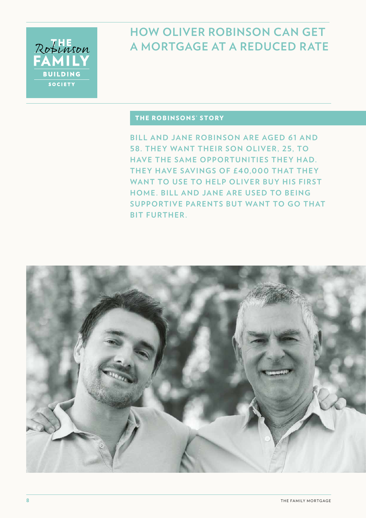

## **HOW OLIVER ROBINSON CAN GET A MORTGAGE AT A REDUCED RATE**

## THE ROBINSONS' STORY

**BILL AND JANE ROBINSON ARE AGED 61 AND 58. THEY WANT THEIR SON OLIVER, 25, TO HAVE THE SAME OPPORTUNITIES THEY HAD. THEY HAVE SAVINGS OF £40,000 THAT THEY WANT TO USE TO HELP OLIVER BUY HIS FIRST HOME. BILL AND JANE ARE USED TO BEING SUPPORTIVE PARENTS BUT WANT TO GO THAT BIT FURTHER.**

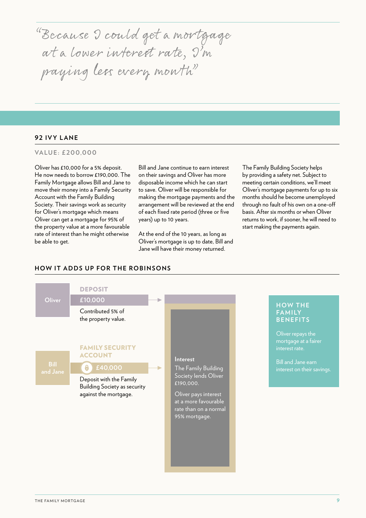"Because I could get a mortgage at a lower interest rate,  $\widetilde{y}_m$ paying less every month"

## **92 IVY LANE**

## **VALUE: £200,000**

Oliver has £10,000 for a 5% deposit. He now needs to borrow £190,000. The Family Mortgage allows Bill and Jane to move their money into a Family Security Account with the Family Building Society. Their savings work as security for Oliver's mortgage which means Oliver can get a mortgage for 95% of the property value at a more favourable rate of interest than he might otherwise be able to get.

Bill and Jane continue to earn interest on their savings and Oliver has more disposable income which he can start to save. Oliver will be responsible for making the mortgage payments and the arrangement will be reviewed at the end of each fixed rate period (three or five years) up to 10 years.

At the end of the 10 years, as long as Oliver's mortgage is up to date, Bill and Jane will have their money returned.

The Family Building Society helps by providing a safety net. Subject to meeting certain conditions, we'll meet Oliver's mortgage payments for up to six months should he become unemployed through no fault of his own on a one-off basis. After six months or when Oliver returns to work, if sooner, he will need to start making the payments again.

## **HOW IT ADDS UP FOR THE ROBINSONS**

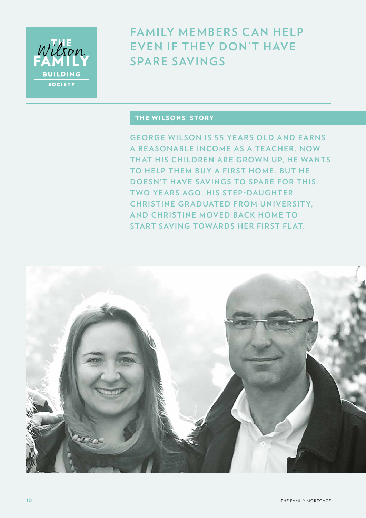

**FAMILY MEMBERS CAN HELP EVEN IF THEY DON'T HAVE SPARE SAVINGS**

## THE WILSONS' STORY

**GEORGE WILSON IS 55 YEARS OLD AND EARNS** A REASONABLE INCOME AS A TEACHER, NOW **THAT HIS CHILDREN ARE GROWN UP, HE WANTS TO HELP THEM BUY A FIRST HOME. BUT HE DOESN'T HAVE SAVINGS TO SPARE FOR THIS. TWO YEARS AGO, HIS STEP-DAUGHTER CHRISTINE GRADUATED FROM UNIVERSITY, AND CHRISTINE MOVED BACK HOME TO START SAVING TOWARDS HER FIRST FLAT.** 

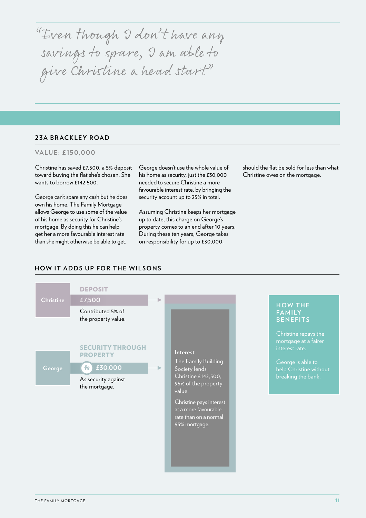"Even though I don't have any savings to spare, I am able to give Christine a head start"

## **23A BRACKLEY ROAD**

## **VALUE: £150,000**

Christine has saved £7,500, a 5% deposit toward buying the flat she's chosen. She wants to borrow £142,500.

George can't spare any cash but he does own his home. The Family Mortgage allows George to use some of the value of his home as security for Christine's mortgage. By doing this he can help get her a more favourable interest rate than she might otherwise be able to get.

George doesn't use the whole value of his home as security, just the £30,000 needed to secure Christine a more favourable interest rate, by bringing the security account up to 25% in total.

Assuming Christine keeps her mortgage up to date, this charge on George's property comes to an end after 10 years. During these ten years, George takes on responsibility for up to £30,000,

should the flat be sold for less than what Christine owes on the mortgage.

## **HOW IT ADDS UP FOR THE WILSONS**

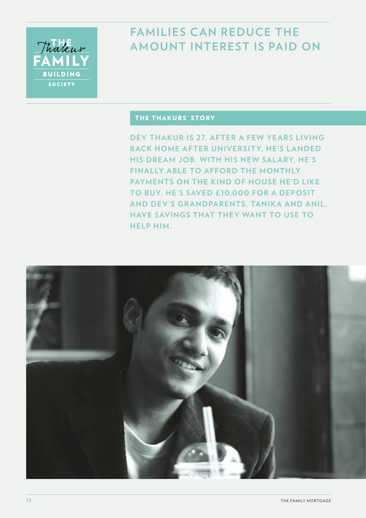

## **FA MILIES C AN REDUCE THE AMOUNT INTEREST IS PAID ON**

## THE THAKURS' STORY

**DEV THAKUR IS 27. AFTER A FEW YEARS LIVING BACK HOME AFTER UNIVERSITY, HE'S LANDED HIS DREAM JOB. WITH HIS NEW SALARY, HE'S FINALLY ABLE TO AFFORD THE MONTHLY PAYMENTS ON THE KIND OF HOUSE HE'D LIKE** TO BUY. HE'S SAVED £10,000 FOR A DEPOSIT **AND DEV'S GRANDPARENTS, TANIKA AND ANIL, HAVE SAVINGS THAT THEY WANT TO USE TO HELP HIM.**

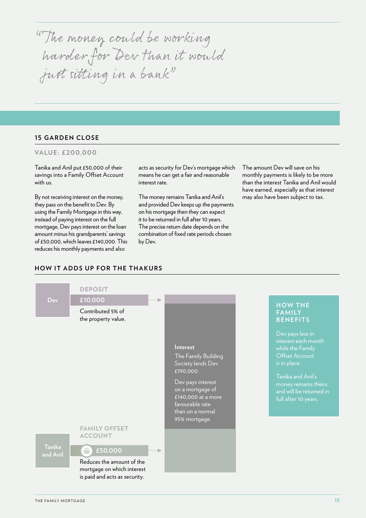"The money could be working harder for Dev than it would just sitting in a bank"

## **15 GARDEN CLOSE**

## **VALUE: £200,000**

Tanika and Anil put £50,000 of their savings into a Family Offset Account with us.

By not receiving interest on the money, they pass on the benefit to Dev. By using the Family Mortgage in this way, instead of paying interest on the full mortgage, Dev pays interest on the loan amount minus his grandparents' savings of £50,000, which leaves £140,000. This reduces his monthly payments and also

acts as security for Dev's mortgage which means he can get a fair and reasonable interest rate.

The money remains Tanika and Anil's and provided Dev keeps up the payments on his mortgage then they can expect it to be returned in full after 10 years. The precise return date depends on the combination of fixed rate periods chosen by Dev.

The amount Dev will save on his monthly payments is likely to be more than the interest Tanika and Anil would have earned, especially as that interest may also have been subject to tax.

## **HOW IT ADDS UP FOR THE THAKURS**

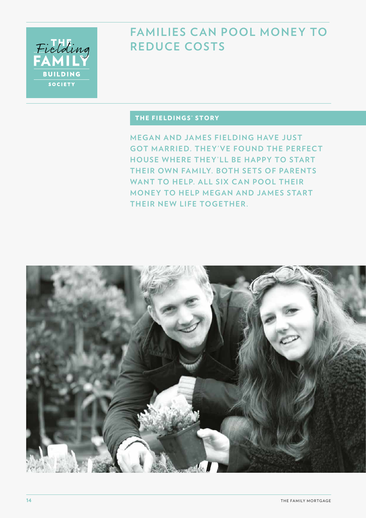

## **FA MILIES C AN POOL MONEY TO REDUCE COSTS**

## THE FIELDINGS' STORY

**MEGAN AND JAMES FIELDING HAVE JUST GOT MARRIED. THEY'VE FOUND THE PERFECT HOUSE WHERE THEY'LL BE HAPPY TO START THEIR OWN FAMILY. BOTH SETS OF PARENTS** WANT TO HELP. ALL SIX CAN POOL THEIR **MONEY TO HELP MEGAN AND JAMES START THEIR NEW LIFE TOGETHER.**

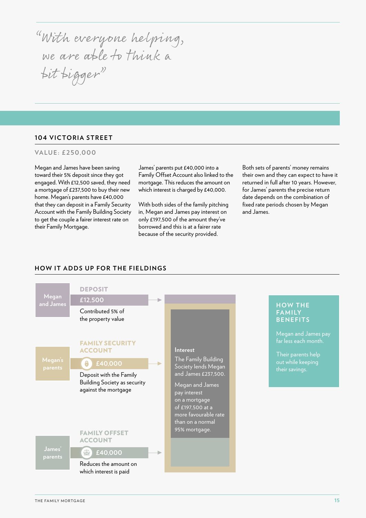"With everyone helping, we are able to think a bit bigger"

## **104 VICTORIA STREET**

## **VALUE: £250,000**

Megan and James have been saving toward their 5% deposit since they got engaged. With £12,500 saved, they need a mortgage of £237,500 to buy their new home. Megan's parents have £40,000 that they can deposit in a Family Security Account with the Family Building Society to get the couple a fairer interest rate on their Family Mortgage.

James' parents put £40,000 into a Family Offset Account also linked to the mortgage. This reduces the amount on which interest is charged by £40,000.

With both sides of the family pitching in, Megan and James pay interest on only £197,500 of the amount they've borrowed and this is at a fairer rate because of the security provided.

Both sets of parents' money remains their own and they can expect to have it returned in full after 10 years. However, for James' parents the precise return date depends on the combination of fixed rate periods chosen by Megan and James.

## **HOW IT ADDS UP FOR THE FIELDINGS**

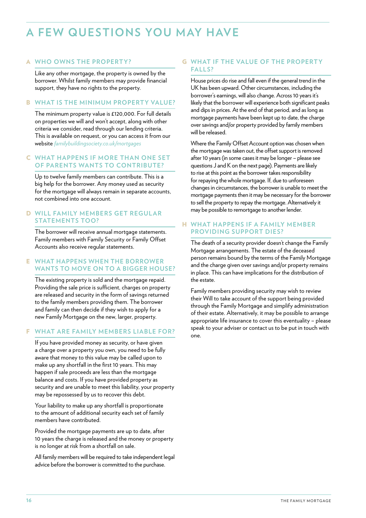## **A FEW QUESTIONS YOU MAY HAVE**

## A **WHO OWNS THE PROPERTY?**

Like any other mortgage, the property is owned by the borrower. Whilst family members may provide financial support, they have no rights to the property.

## B **WHAT IS THE MINIMUM PROPERTY VALUE?**

The minimum property value is £120,000. For full details on properties we will and won't accept, along with other criteria we consider, read through our lending criteria. This is available on request, or you can access it from our website *familybuildingsociety.co.uk/mortgages*

## C **WHAT HAPPENS IF MORE THAN ONE SET OF PARENTS WANTS TO CONTRIBUTE?**

Up to twelve family members can contribute. This is a big help for the borrower. Any money used as security for the mortgage will always remain in separate accounts, not combined into one account.

## D **WILL FAMILY MEMBERS GET REGUL AR STATEMENTS TOO?**

The borrower will receive annual mortgage statements. Family members with Family Security or Family Offset Accounts also receive regular statements.

## E **WHAT HAPPENS WHEN THE BORROWER WANTS TO MOVE ON TO A BIGGER HOUSE?**

The existing property is sold and the mortgage repaid. Providing the sale price is sufficient, charges on property are released and security in the form of savings returned to the family members providing them. The borrower and family can then decide if they wish to apply for a new Family Mortgage on the new, larger, property.

## F **WHAT ARE FAMILY MEMBERS LIABLE FOR?**

If you have provided money as security, or have given a charge over a property you own, you need to be fully aware that money to this value may be called upon to make up any shortfall in the first 10 years. This may happen if sale proceeds are less than the mortgage balance and costs. If you have provided property as security and are unable to meet this liability, your property may be repossessed by us to recover this debt.

Your liability to make up any shortfall is proportionate to the amount of additional security each set of family members have contributed.

Provided the mortgage payments are up to date, after 10 years the charge is released and the money or property is no longer at risk from a shortfall on sale.

All family members will be required to take independent legal advice before the borrower is committed to the purchase.

## G **WHAT IF THE VALUE OF THE PROPERT Y FALLS?**

House prices do rise and fall even if the general trend in the UK has been upward. Other circumstances, including the borrower's earnings, will also change. Across 10 years it's likely that the borrower will experience both significant peaks and dips in prices. At the end of that period, and as long as mortgage payments have been kept up to date, the charge over savings and/or property provided by family members will be released.

Where the Family Offset Account option was chosen when the mortgage was taken out, the offset support is removed after 10 years (in some cases it may be longer – please see questions J and K on the next page). Payments are likely to rise at this point as the borrower takes responsibility for repaying the whole mortgage. If, due to unforeseen changes in circumstances, the borrower is unable to meet the mortgage payments then it may be necessary for the borrower to sell the property to repay the mortgage. Alternatively it may be possible to remortgage to another lender.

## H **WHAT HAPPENS IF A FAMILY MEMBER PROVIDING SUPPORT DIES?**

The death of a security provider doesn't change the Family Mortgage arrangements. The estate of the deceased person remains bound by the terms of the Family Mortgage and the charge given over savings and/or property remains in place. This can have implications for the distribution of the estate.

Family members providing security may wish to review their Will to take account of the support being provided through the Family Mortgage and simplify administration of their estate. Alternatively, it may be possible to arrange appropriate life insurance to cover this eventuality – please speak to your adviser or contact us to be put in touch with one.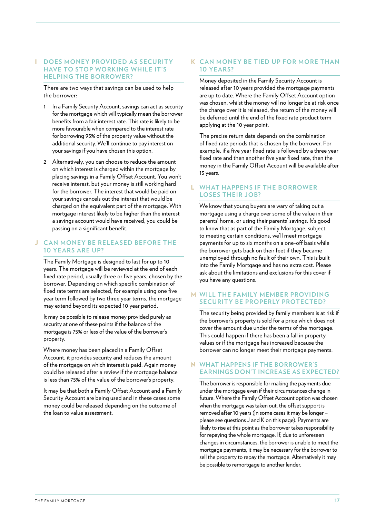### **DOES MONEY PROVIDED AS SECURITY HAVE TO STOP WORKING WHILE IT'S HELPING THE BORROWER?**

There are two ways that savings can be used to help the borrower:

- 1 In a Family Security Account, savings can act as security for the mortgage which will typically mean the borrower benefits from a fair interest rate. This rate is likely to be more favourable when compared to the interest rate for borrowing 95% of the property value without the additional security. We'll continue to pay interest on your savings if you have chosen this option.
- 2 Alternatively, you can choose to reduce the amount on which interest is charged within the mortgage by placing savings in a Family Offset Account. You won't receive interest, but your money is still working hard for the borrower. The interest that would be paid on your savings cancels out the interest that would be charged on the equivalent part of the mortgage. With mortgage interest likely to be higher than the interest a savings account would have received, you could be passing on a significant benefit.

## **J CAN MONEY BE RELEASED BEFORE THE 10 YEARS ARE UP?**

The Family Mortgage is designed to last for up to 10 years. The mortgage will be reviewed at the end of each fixed rate period, usually three or five years, chosen by the borrower. Depending on which specific combination of fixed rate terms are selected, for example using one five year term followed by two three year terms, the mortgage may extend beyond its expected 10 year period.

It may be possible to release money provided purely as security at one of these points if the balance of the mortgage is 75% or less of the value of the borrower's property.

Where money has been placed in a Family Offset Account, it provides security and reduces the amount of the mortgage on which interest is paid. Again money could be released after a review if the mortgage balance is less than 75% of the value of the borrower's property.

It may be that both a Family Offset Account and a Family Security Account are being used and in these cases some money could be released depending on the outcome of the loan to value assessment.

## K **C AN MONEY BE TIED UP FOR MORE THAN 10 YEARS?**

Money deposited in the Family Security Account is released after 10 years provided the mortgage payments are up to date. Where the Family Offset Account option was chosen, whilst the money will no longer be at risk once the charge over it is released, the return of the money will be deferred until the end of the fixed rate product term applying at the 10 year point.

The precise return date depends on the combination of fixed rate periods that is chosen by the borrower. For example, if a five year fixed rate is followed by a three year fixed rate and then another five year fixed rate, then the money in the Family Offset Account will be available after 13 years.

## L **WHAT HAPPENS IF THE BORROWER LOSES THEIR JOB?**

We know that young buyers are wary of taking out a mortgage using a charge over some of the value in their parents' home, or using their parents' savings. It's good to know that as part of the Family Mortgage, subject to meeting certain conditions, we'll meet mortgage payments for up to six months on a one-off basis while the borrower gets back on their feet if they became unemployed through no fault of their own. This is built into the Family Mortgage and has no extra cost. Please ask about the limitations and exclusions for this cover if you have any questions.

## M **WILL THE FAMILY MEMBER PROVIDING SECURIT Y BE PROPERLY PROTECTED?**

The security being provided by family members is at risk if the borrower's property is sold for a price which does not cover the amount due under the terms of the mortgage. This could happen if there has been a fall in property values or if the mortgage has increased because the borrower can no longer meet their mortgage payments.

## N **WHAT HAPPENS IF THE BORROWER'S EARNINGS DON'T INCREASE AS EXPECTED?**

The borrower is responsible for making the payments due under the mortgage even if their circumstances change in future. Where the Family Offset Account option was chosen when the mortgage was taken out, the offset support is removed after 10 years (in some cases it may be longer – please see questions J and K on this page). Payments are likely to rise at this point as the borrower takes responsibility for repaying the whole mortgage. If, due to unforeseen changes in circumstances, the borrower is unable to meet the mortgage payments, it may be necessary for the borrower to sell the property to repay the mortgage. Alternatively it may be possible to remortgage to another lender.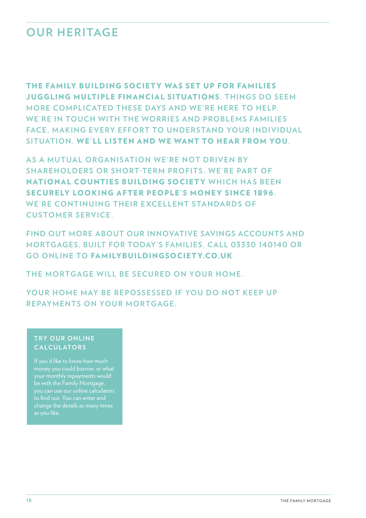## **OUR HERITAGE**

THE FAMILY BUILDING SOCIETY WAS SET UP FOR FAMILIES JUGGLING MULTIPLE FINANCIAL SITUATIONS**. THINGS DO SEEM MORE COMPLIC ATED THESE DAYS AND WE' RE HERE TO HELP.**  WE'RE IN TOUCH WITH THE WORRIES AND PROBLEMS FAMILIES **FACE, MAKING EVERY EFFORT TO UNDERSTAND YOUR INDIVIDUAL SITUATION.** WE'LL LISTEN AND WE WANT TO HEAR FROM YOU**.** 

AS A MUTUAL ORGANISATION WE'RE NOT DRIVEN BY **SHAREHOLDERS OR SHORT-TERM PROFITS. WE'RE PART OF NATIONAL COUNTIES BUILDING SOCIETY WHICH HAS BEEN** SECURELY LOOKING AFTER PEOPLE'S MONEY SINCE 1896. WE'RE CONTINUING THEIR EXCELLENT STANDARDS OF **CUSTOMER SERVICE.**

**FIND OUT MORE ABOUT OUR INNOVATIVE SAVINGS ACCOUNTS AND MORTGAGES, BUILT FOR TODAY'S FAMILIES. C ALL 03330 140140 OR GO ONLINE TO FAMILYBUILDINGSOCIETY.CO.UK** 

**THE MORTGAGE WILL BE SECURED ON YOUR HOME.**

YOUR HOME MAY BE REPOSSESSED IF YOU DO NOT KEEP UP **REPAYMENTS ON YOUR MORTGAGE.**

## **TRY OUR ONLINE CALCUL ATORS**

If you'd like to know how much money you could borrow, or what your monthly repayments would be with the Family Mortgage, as you like.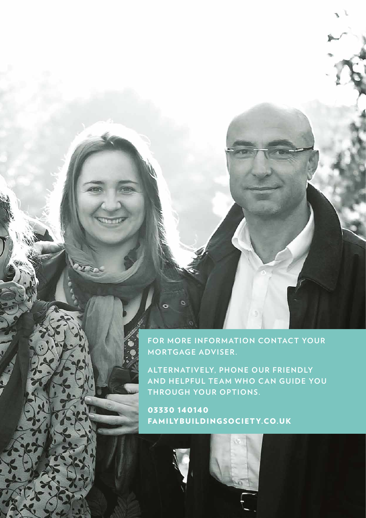

**ALTERNATIVELY, PHONE OUR FRIENDLY AND HELPFUL TEAM WHO CAN GUIDE YOU THROUGH YOUR OPTIONS.**

03330 140140 FA MILYBU ILDING SOCIET Y.CO.U K

 $\mathcal{L}$